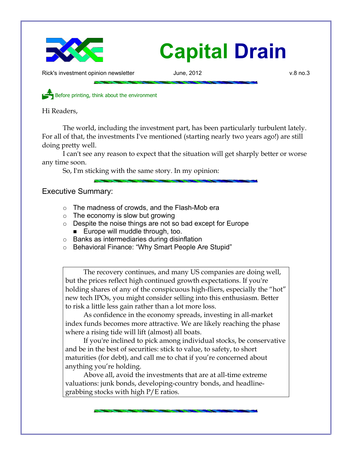

# **Capital Drain**

Rick's investment opinion newsletter **Channel State State June, 2012** v.8 no.3 v.8 no.3

Before printing, think about the environment

Hi Readers,

The world, including the investment part, has been particularly turbulent lately. For all of that, the investments I've mentioned (starting nearly two years ago!) are still doing pretty well.

I can't see any reason to expect that the situation will get sharply better or worse any time soon.

So, I'm sticking with the same story. In my opinion:

Executive Summary:

- $\circ$  The madness of crowds, and the Flash-Mob era
- $\circ$  The economy is slow but growing
- Despite the noise things are not so bad except for Europe
	- Europe will muddle through, too.
- Banks as intermediaries during disinflation
- o Behavioral Finance: "Why Smart People Are Stupid"

The recovery continues, and many US companies are doing well, but the prices reflect high continued growth expectations. If you're holding shares of any of the conspicuous high-fliers, especially the "hot" new tech IPOs, you might consider selling into this enthusiasm. Better to risk a little less gain rather than a lot more loss.

As confidence in the economy spreads, investing in all-market index funds becomes more attractive. We are likely reaching the phase where a rising tide will lift (almost) all boats.

If you're inclined to pick among individual stocks, be conservative and be in the best of securities: stick to value, to safety, to short maturities (for debt), and call me to chat if you're concerned about anything you're holding.

Above all, avoid the investments that are at all-time extreme valuations: junk bonds, developing-country bonds, and headlinegrabbing stocks with high P/E ratios.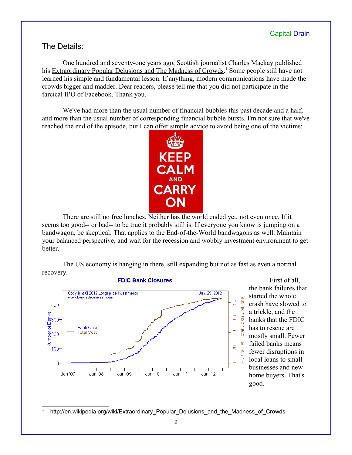# The Details:

One hundred and seventy-one years ago, Scottish journalist Charles Mackay published his Extraordinary Popular Delusions and The Madness of Crowds.<sup>[1](#page-1-0)</sup> Some people still have not learned his simple and fundamental lesson. If anything, modern communications have made the crowds bigger and madder. Dear readers, please tell me that you did not participate in the farcical IPO of Facebook. Thank you.

We've had more than the usual number of financial bubbles this past decade and a half, and more than the usual number of corresponding financial bubble bursts. I'm not sure that we've reached the end of the episode, but I can offer simple advice to avoid being one of the victims:



There are still no free lunches. Neither has the world ended yet, not even once. If it seems too good-- or bad-- to be true it probably still is. If everyone you know is jumping on a bandwagon, be skeptical. That applies to the End-of-the-World bandwagons as well. Maintain your balanced perspective, and wait for the recession and wobbly investment environment to get better.

The US economy is hanging in there, still expanding but not as fast as even a normal recovery.



First of all, the bank failures that started the whole crash have slowed to a trickle, and the banks that the FDIC has to rescue are mostly small. Fewer failed banks means fewer disruptions in local loans to small businesses and new home buyers. That's good.

<span id="page-1-0"></span>1 http://en.wikipedia.org/wiki/Extraordinary\_Popular\_Delusions\_and\_the\_Madness\_of\_Crowds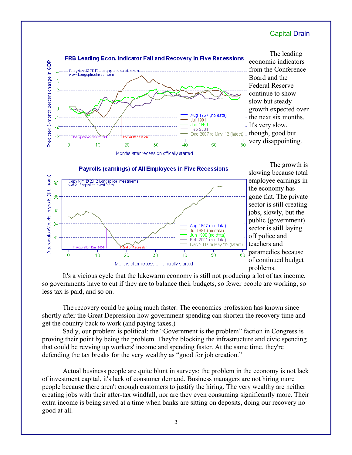## Capital Drain



The leading economic indicators from the Conference Board and the Federal Reserve continue to show slow but steady growth expected over the next six months. It's very slow, though, good but very disappointing.



The growth is slowing because total employee earnings in the economy has gone flat. The private sector is still creating jobs, slowly, but the public (government) sector is still laying off police and teachers and paramedics because of continued budget problems.

It's a vicious cycle that the lukewarm economy is still not producing a lot of tax income, so governments have to cut if they are to balance their budgets, so fewer people are working, so less tax is paid, and so on.

The recovery could be going much faster. The economics profession has known since shortly after the Great Depression how government spending can shorten the recovery time and get the country back to work (and paying taxes.)

Sadly, our problem is political: the "Government is the problem" faction in Congress is proving their point by being the problem. They're blocking the infrastructure and civic spending that could be revving up workers' income and spending faster. At the same time, they're defending the tax breaks for the very wealthy as "good for job creation."

Actual business people are quite blunt in surveys: the problem in the economy is not lack of investment capital, it's lack of consumer demand. Business managers are not hiring more people because there aren't enough customers to justify the hiring. The very wealthy are neither creating jobs with their after-tax windfall, nor are they even consuming significantly more. Their extra income is being saved at a time when banks are sitting on deposits, doing our recovery no good at all.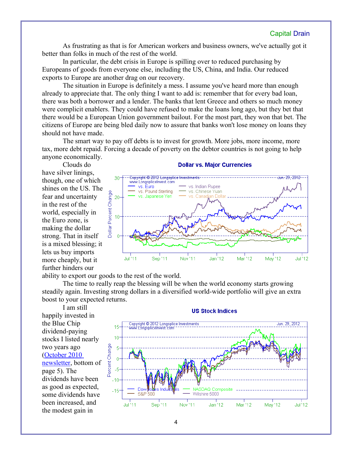As frustrating as that is for American workers and business owners, we've actually got it better than folks in much of the rest of the world.

In particular, the debt crisis in Europe is spilling over to reduced purchasing by Europeans of goods from everyone else, including the US, China, and India. Our reduced exports to Europe are another drag on our recovery.

The situation in Europe is definitely a mess. I assume you've heard more than enough already to appreciate that. The only thing I want to add is: remember that for every bad loan, there was both a borrower and a lender. The banks that lent Greece and others so much money were complicit enablers. They could have refused to make the loans long ago, but they bet that there would be a European Union government bailout. For the most part, they won that bet. The citizens of Europe are being bled daily now to assure that banks won't lose money on loans they should not have made.

The smart way to pay off debts is to invest for growth. More jobs, more income, more tax, more debt repaid. Forcing a decade of poverty on the debtor countries is not going to help anyone economically.

Clouds do have silver linings, though, one of which shines on the US. The fear and uncertainty in the rest of the world, especially in the Euro zone, is making the dollar strong. That in itself is a mixed blessing; it lets us buy imports more cheaply, but it further hinders our



ability to export our goods to the rest of the world.

The time to really reap the blessing will be when the world economy starts growing steadily again. Investing strong dollars in a diversified world-wide portfolio will give an extra boost to your expected returns.

I am still happily invested in the Blue Chip dividend-paying stocks I listed nearly two years ago [\(October 2010](http://www.longspliceinvest.com/CapDrain/CapDrain_v6n3.pdf) [newsletter,](http://www.longspliceinvest.com/CapDrain/CapDrain_v6n3.pdf) bottom of page 5). The dividends have been as good as expected, some dividends have been increased, and the modest gain in



#### **Dollar vs. Major Currencies**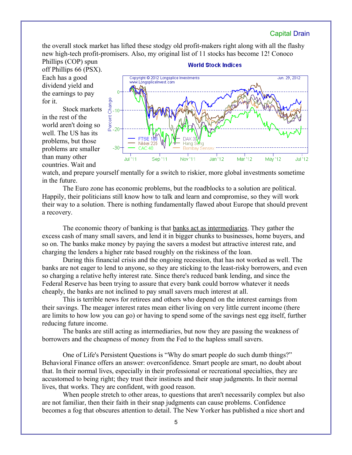### Capital Drain

the overall stock market has lifted these stodgy old profit-makers right along with all the flashy new high-tech profit-promisers. Also, my original list of 11 stocks has become 12! Conoco

Phillips (COP) spun off Phillips 66 (PSX). Each has a good dividend yield and the earnings to pay for it.

Stock markets in the rest of the world aren't doing so well. The US has its problems, but those problems are smaller than many other countries. Wait and



watch, and prepare yourself mentally for a switch to riskier, more global investments sometime in the future.

The Euro zone has economic problems, but the roadblocks to a solution are political. Happily, their politicians still know how to talk and learn and compromise, so they will work their way to a solution. There is nothing fundamentally flawed about Europe that should prevent a recovery.

The economic theory of banking is that banks act as intermediaries. They gather the excess cash of many small savers, and lend it in bigger chunks to businesses, home buyers, and so on. The banks make money by paying the savers a modest but attractive interest rate, and charging the lenders a higher rate based roughly on the riskiness of the loan.

During this financial crisis and the ongoing recession, that has not worked as well. The banks are not eager to lend to anyone, so they are sticking to the least-risky borrowers, and even so charging a relative hefty interest rate. Since there's reduced bank lending, and since the Federal Reserve has been trying to assure that every bank could borrow whatever it needs cheaply, the banks are not inclined to pay small savers much interest at all.

This is terrible news for retirees and others who depend on the interest earnings from their savings. The meager interest rates mean either living on very little current income (there are limits to how low you can go) or having to spend some of the savings nest egg itself, further reducing future income.

The banks are still acting as intermediaries, but now they are passing the weakness of borrowers and the cheapness of money from the Fed to the hapless small savers.

One of Life's Persistent Questions is "Why do smart people do such dumb things?" Behavioral Finance offers an answer: overconfidence. Smart people are smart, no doubt about that. In their normal lives, especially in their professional or recreational specialties, they are accustomed to being right; they trust their instincts and their snap judgments. In their normal lives, that works. They are confident, with good reason.

When people stretch to other areas, to questions that aren't necessarily complex but also are not familiar, then their faith in their snap judgments can cause problems. Confidence becomes a fog that obscures attention to detail. The New Yorker has published a nice short and